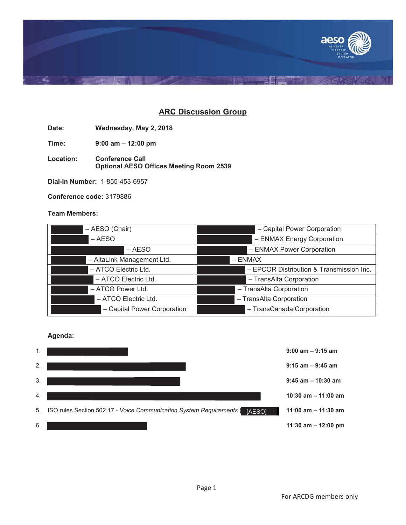

# **ARC Discussion Group**

**Date: Wednesday, May 2, 2018**

**Time: 9:00 am – 12:00 pm**

**Location: Conference Call Optional AESO Offices Meeting Room 2539**

**Dial-In Number:** 1-855-453-6957

**Conference code:** 3179886

# **Team Members:**

| - AESO (Chair)              | - Capital Power Corporation              |  |
|-----------------------------|------------------------------------------|--|
| $-$ AESO                    | - ENMAX Energy Corporation               |  |
| – AESO                      | - ENMAX Power Corporation                |  |
| - AltaLink Management Ltd.  | $-$ ENMAX                                |  |
| - ATCO Electric Ltd.        | - EPCOR Distribution & Transmission Inc. |  |
| - ATCO Electric Ltd.        | - TransAlta Corporation                  |  |
| - ATCO Power Ltd.           | - TransAlta Corporation                  |  |
| - ATCO Electric Ltd.        | - TransAlta Corporation                  |  |
| - Capital Power Corporation | - TransCanada Corporation                |  |

### **Agenda:**

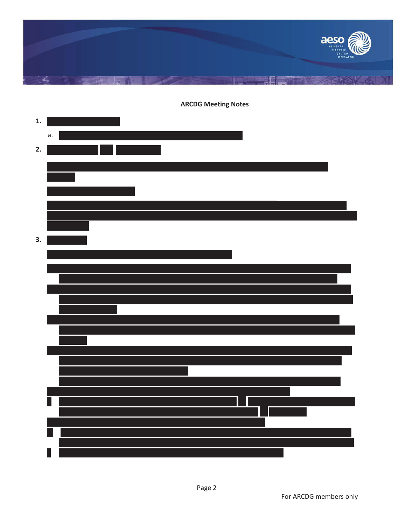

# **1.** a. 1 **2. 3.**

**ARCDG Meeting Notes**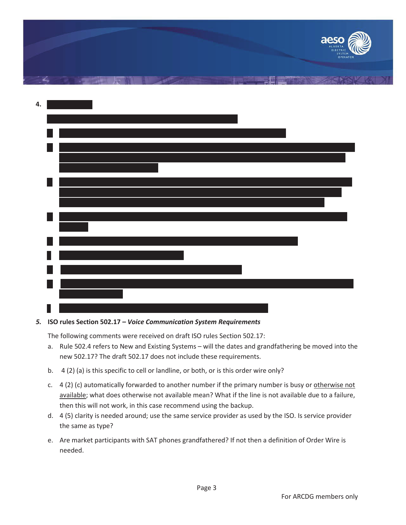|    | aeso<br>ALBERTA<br>ELECTRIC<br>SYSTEM<br>OPERATOR |
|----|---------------------------------------------------|
| ی  |                                                   |
| 4. |                                                   |
|    |                                                   |
|    |                                                   |
|    |                                                   |
|    |                                                   |
|    |                                                   |
|    |                                                   |

## *5.* **ISO rules Section 502.17 –** *Voice Communication System Requirements*

The following comments were received on draft ISO rules Section 502.17:

- a. Rule 502.4 refers to New and Existing Systems will the dates and grandfathering be moved into the new 502.17? The draft 502.17 does not include these requirements.
- b. 4 (2) (a) is this specific to cell or landline, or both, or is this order wire only?
- c.  $4$  (2) (c) automatically forwarded to another number if the primary number is busy or otherwise not available; what does otherwise not available mean? What if the line is not available due to a failure, then this will not work, in this case recommend using the backup.
- d. 4 (5) clarity is needed around; use the same service provider as used by the ISO. Is service provider the same as type?
- e. Are market participants with SAT phones grandfathered? If not then a definition of Order Wire is needed.